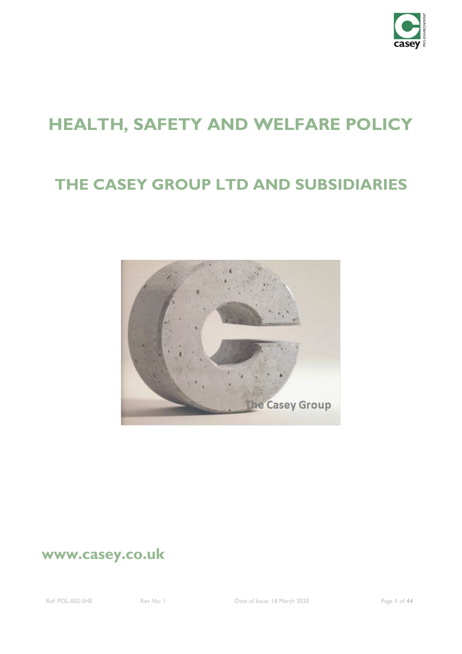

# **HEALTH, SAFETY AND WELFARE POLICY**

# **THE CASEY GROUP LTD AND SUBSIDIARIES**



## **www.casey.co.uk**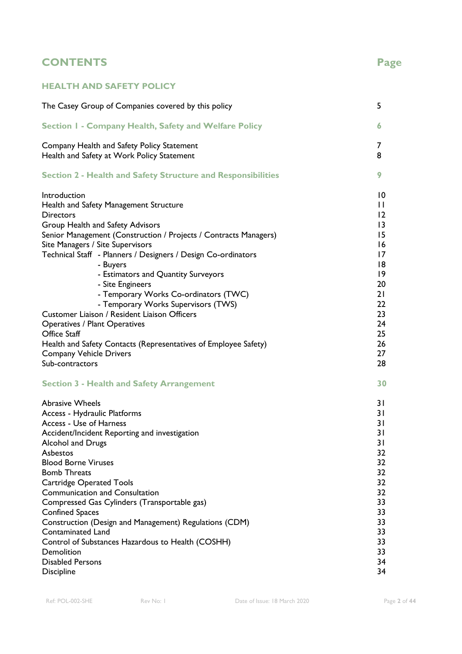### **CONTENTS Page**

### **HEALTH AND SAFETY POLICY**

| The Casey Group of Companies covered by this policy                 | 5               |
|---------------------------------------------------------------------|-----------------|
| Section I - Company Health, Safety and Welfare Policy               | 6.              |
| Company Health and Safety Policy Statement                          | 7               |
| Health and Safety at Work Policy Statement                          | 8               |
| <b>Section 2 - Health and Safety Structure and Responsibilities</b> | 9               |
| Introduction                                                        | $\overline{10}$ |
| Health and Safety Management Structure                              | $\mathbf{H}$    |
| <b>Directors</b>                                                    | 12              |
| Group Health and Safety Advisors                                    | $\overline{13}$ |
| Senior Management (Construction / Projects / Contracts Managers)    | 15              |
| Site Managers / Site Supervisors                                    | 16              |
| Technical Staff - Planners / Designers / Design Co-ordinators       | 17              |
| - Buyers                                                            | 18              |
| - Estimators and Quantity Surveyors                                 | $ 9\rangle$     |
| - Site Engineers                                                    | 20              |
| - Temporary Works Co-ordinators (TWC)                               | 21              |
| - Temporary Works Supervisors (TWS)                                 | 22              |
| Customer Liaison / Resident Liaison Officers                        | 23              |
| <b>Operatives / Plant Operatives</b>                                | 24              |
| Office Staff                                                        | 25              |
| Health and Safety Contacts (Representatives of Employee Safety)     | 26              |
| <b>Company Vehicle Drivers</b>                                      | 27              |
| Sub-contractors                                                     | 28              |
| <b>Section 3 - Health and Safety Arrangement</b>                    | 30              |
| <b>Abrasive Wheels</b>                                              | 31              |
| Access - Hydraulic Platforms                                        | 31              |
| Access - Use of Harness                                             | 31              |
| Accident/Incident Reporting and investigation                       | 31              |
| Alcohol and Drugs                                                   | 31              |
| Asbestos                                                            | 32              |
| <b>Blood Borne Viruses</b>                                          | 32              |
| <b>Bomb Threats</b>                                                 | 32              |
| <b>Cartridge Operated Tools</b>                                     | 32              |
| <b>Communication and Consultation</b>                               | 32              |
| Compressed Gas Cylinders (Transportable gas)                        | 33              |
| <b>Confined Spaces</b>                                              | 33              |
| Construction (Design and Management) Regulations (CDM)              | 33              |
| <b>Contaminated Land</b>                                            | 33              |
| Control of Substances Hazardous to Health (COSHH)                   | 33              |
| Demolition                                                          | 33              |
| <b>Disabled Persons</b>                                             | 34              |
| <b>Discipline</b>                                                   | 34              |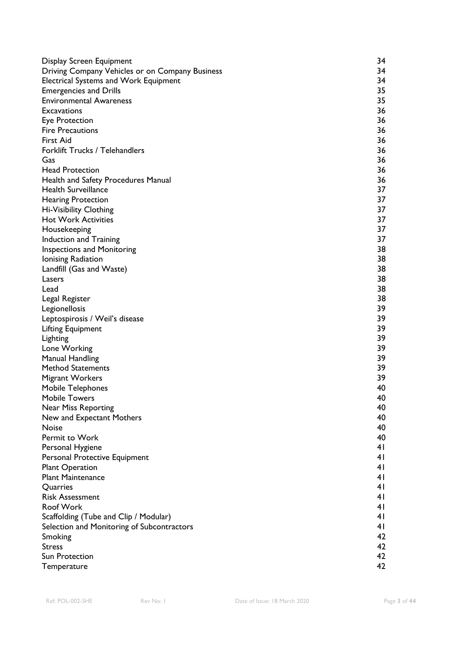| Display Screen Equipment                        | 34             |
|-------------------------------------------------|----------------|
| Driving Company Vehicles or on Company Business | 34             |
| <b>Electrical Systems and Work Equipment</b>    | 34             |
| <b>Emergencies and Drills</b>                   | 35             |
| <b>Environmental Awareness</b>                  | 35             |
| Excavations                                     | 36             |
| <b>Eye Protection</b>                           | 36             |
| <b>Fire Precautions</b>                         | 36             |
| <b>First Aid</b>                                | 36             |
| Forklift Trucks / Telehandlers                  | 36             |
| Gas                                             | 36             |
| <b>Head Protection</b>                          | 36             |
| Health and Safety Procedures Manual             | 36             |
| <b>Health Surveillance</b>                      | 37             |
| <b>Hearing Protection</b>                       | 37             |
| Hi-Visibility Clothing                          | 37             |
| <b>Hot Work Activities</b>                      | 37             |
| Housekeeping                                    | 37             |
| Induction and Training                          | 37             |
| <b>Inspections and Monitoring</b>               | 38             |
| Ionising Radiation                              | 38             |
| Landfill (Gas and Waste)                        | 38             |
| Lasers                                          | 38             |
| Lead                                            | 38             |
| Legal Register                                  | 38             |
| Legionellosis                                   | 39             |
| Leptospirosis / Weil's disease                  | 39             |
| Lifting Equipment                               | 39             |
| Lighting                                        | 39             |
| Lone Working                                    | 39             |
| <b>Manual Handling</b>                          | 39             |
| <b>Method Statements</b>                        | 39             |
| <b>Migrant Workers</b>                          | 39             |
| Mobile Telephones                               | 40             |
| <b>Mobile Towers</b>                            | 40             |
| Near Miss Reporting                             | 40             |
| New and Expectant Mothers                       | 40             |
| <b>Noise</b>                                    | 40             |
| Permit to Work                                  | 40             |
| Personal Hygiene                                | 41             |
| Personal Protective Equipment                   | 41             |
| <b>Plant Operation</b>                          | 4 <sub>l</sub> |
| <b>Plant Maintenance</b>                        | 41             |
| Quarries                                        | 41             |
| <b>Risk Assessment</b>                          | 41             |
| Roof Work                                       | 4 <sub>l</sub> |
| Scaffolding (Tube and Clip / Modular)           | 41             |
| Selection and Monitoring of Subcontractors      | 41             |
| Smoking                                         | 42             |
| <b>Stress</b>                                   | 42             |
| Sun Protection                                  | 42             |
| Temperature                                     | 42             |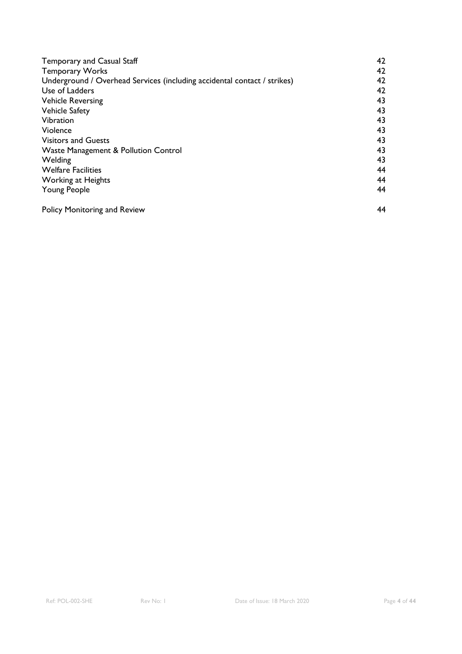| Temporary and Casual Staff                                                                                                                                                | 42 |                                                     |                                        |                                                            |
|---------------------------------------------------------------------------------------------------------------------------------------------------------------------------|----|-----------------------------------------------------|----------------------------------------|------------------------------------------------------------|
| <b>Temporary Works</b><br>Underground / Overhead Services (including accidental contact / strikes)<br>Use of Ladders<br><b>Vehicle Reversing</b><br><b>Vehicle Safety</b> |    |                                                     |                                        |                                                            |
|                                                                                                                                                                           |    | Vibration<br>Violence<br><b>Visitors and Guests</b> | 43<br>43<br>43<br>43<br>43<br>44<br>44 |                                                            |
|                                                                                                                                                                           |    |                                                     |                                        | Waste Management & Pollution Control                       |
|                                                                                                                                                                           |    |                                                     |                                        | Welding<br><b>Welfare Facilities</b><br>Working at Heights |
|                                                                                                                                                                           |    | <b>Young People</b>                                 |                                        |                                                            |
| <b>Policy Monitoring and Review</b>                                                                                                                                       | 44 |                                                     |                                        |                                                            |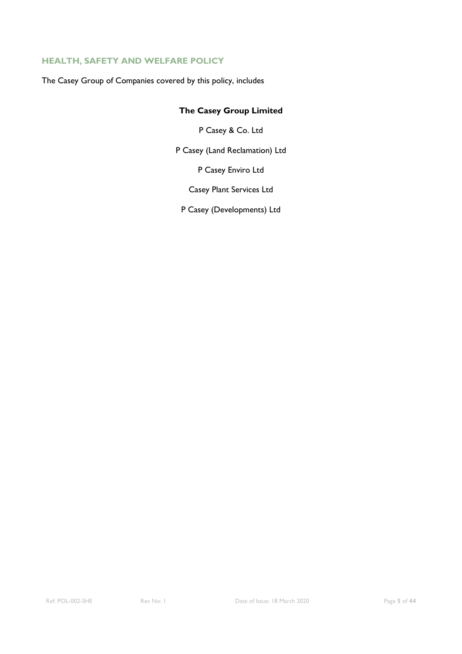#### **HEALTH, SAFETY AND WELFARE POLICY**

The Casey Group of Companies covered by this policy, includes

### **The Casey Group Limited**

P Casey & Co. Ltd

P Casey (Land Reclamation) Ltd

P Casey Enviro Ltd

Casey Plant Services Ltd

P Casey (Developments) Ltd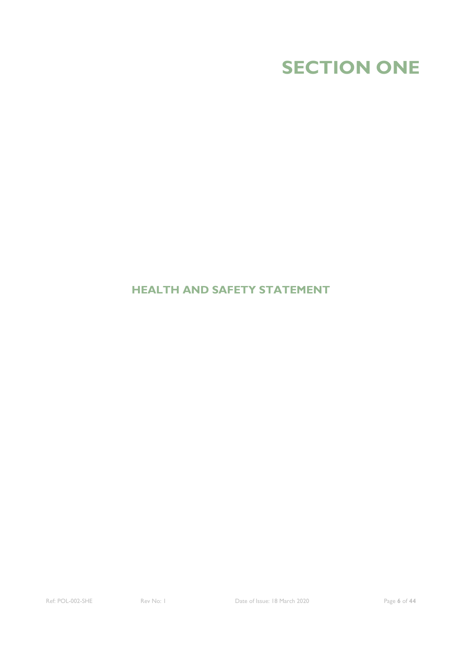

### **HEALTH AND SAFETY STATEMENT**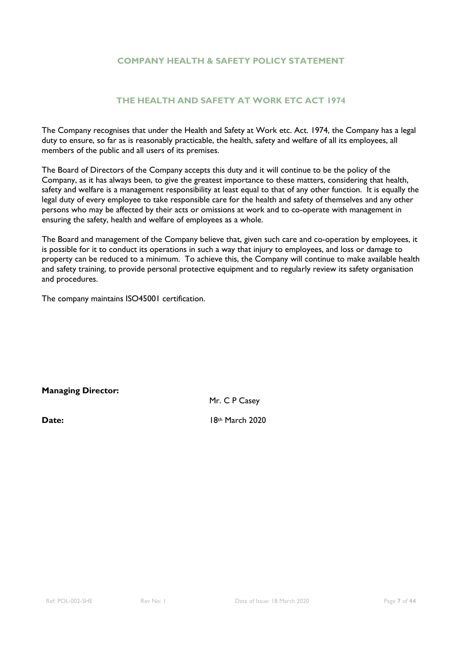#### **COMPANY HEALTH & SAFETY POLICY STATEMENT**

#### **THE HEALTH AND SAFETY AT WORK ETC ACT 1974**

The Company recognises that under the Health and Safety at Work etc. Act. 1974, the Company has a legal duty to ensure, so far as is reasonably practicable, the health, safety and welfare of all its employees, all members of the public and all users of its premises.

The Board of Directors of the Company accepts this duty and it will continue to be the policy of the Company, as it has always been, to give the greatest importance to these matters, considering that health, safety and welfare is a management responsibility at least equal to that of any other function. It is equally the legal duty of every employee to take responsible care for the health and safety of themselves and any other persons who may be affected by their acts or omissions at work and to co-operate with management in ensuring the safety, health and welfare of employees as a whole.

The Board and management of the Company believe that, given such care and co-operation by employees, it is possible for it to conduct its operations in such a way that injury to employees, and loss or damage to property can be reduced to a minimum. To achieve this, the Company will continue to make available health and safety training, to provide personal protective equipment and to regularly review its safety organisation and procedures.

The company maintains ISO45001 certification.

#### **Managing Director:**

Mr. C P Casey

**Date:** 18th March 2020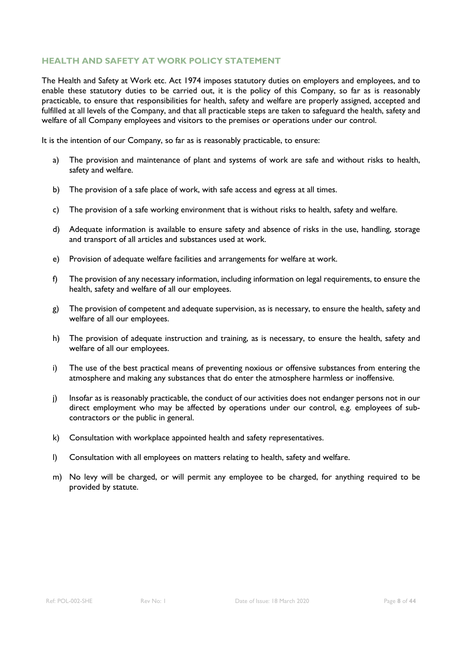#### **HEALTH AND SAFETY AT WORK POLICY STATEMENT**

The Health and Safety at Work etc. Act 1974 imposes statutory duties on employers and employees, and to enable these statutory duties to be carried out, it is the policy of this Company, so far as is reasonably practicable, to ensure that responsibilities for health, safety and welfare are properly assigned, accepted and fulfilled at all levels of the Company, and that all practicable steps are taken to safeguard the health, safety and welfare of all Company employees and visitors to the premises or operations under our control.

It is the intention of our Company, so far as is reasonably practicable, to ensure:

- a) The provision and maintenance of plant and systems of work are safe and without risks to health, safety and welfare.
- b) The provision of a safe place of work, with safe access and egress at all times.
- c) The provision of a safe working environment that is without risks to health, safety and welfare.
- d) Adequate information is available to ensure safety and absence of risks in the use, handling, storage and transport of all articles and substances used at work.
- e) Provision of adequate welfare facilities and arrangements for welfare at work.
- f) The provision of any necessary information, including information on legal requirements, to ensure the health, safety and welfare of all our employees.
- g) The provision of competent and adequate supervision, as is necessary, to ensure the health, safety and welfare of all our employees.
- h) The provision of adequate instruction and training, as is necessary, to ensure the health, safety and welfare of all our employees.
- i) The use of the best practical means of preventing noxious or offensive substances from entering the atmosphere and making any substances that do enter the atmosphere harmless or inoffensive.
- j) Insofar as is reasonably practicable, the conduct of our activities does not endanger persons not in our direct employment who may be affected by operations under our control, e.g. employees of subcontractors or the public in general.
- k) Consultation with workplace appointed health and safety representatives.
- l) Consultation with all employees on matters relating to health, safety and welfare.
- m) No levy will be charged, or will permit any employee to be charged, for anything required to be provided by statute.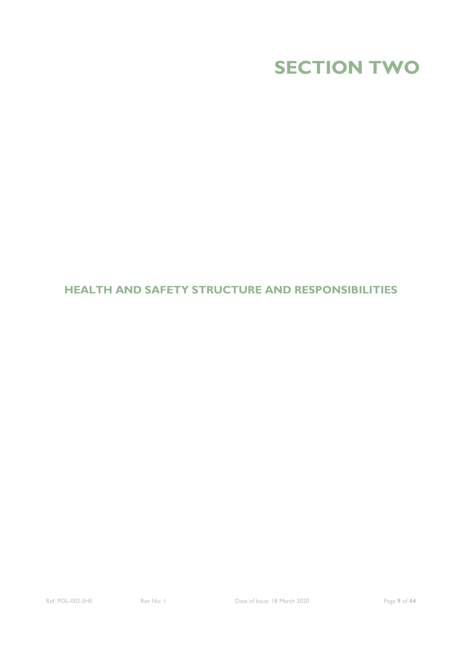

### **HEALTH AND SAFETY STRUCTURE AND RESPONSIBILITIES**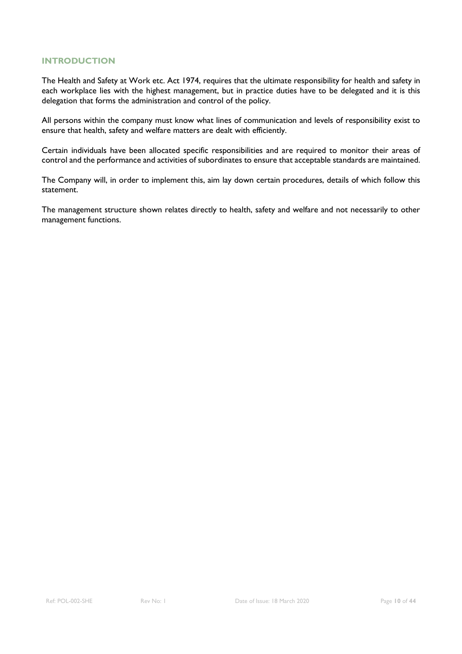#### **INTRODUCTION**

The Health and Safety at Work etc. Act 1974, requires that the ultimate responsibility for health and safety in each workplace lies with the highest management, but in practice duties have to be delegated and it is this delegation that forms the administration and control of the policy.

All persons within the company must know what lines of communication and levels of responsibility exist to ensure that health, safety and welfare matters are dealt with efficiently.

Certain individuals have been allocated specific responsibilities and are required to monitor their areas of control and the performance and activities of subordinates to ensure that acceptable standards are maintained.

The Company will, in order to implement this, aim lay down certain procedures, details of which follow this statement.

The management structure shown relates directly to health, safety and welfare and not necessarily to other management functions.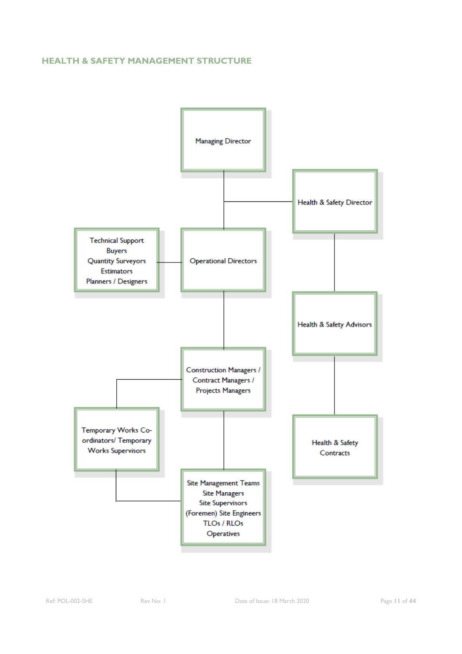#### **HEALTH & SAFETY MANAGEMENT STRUCTURE**

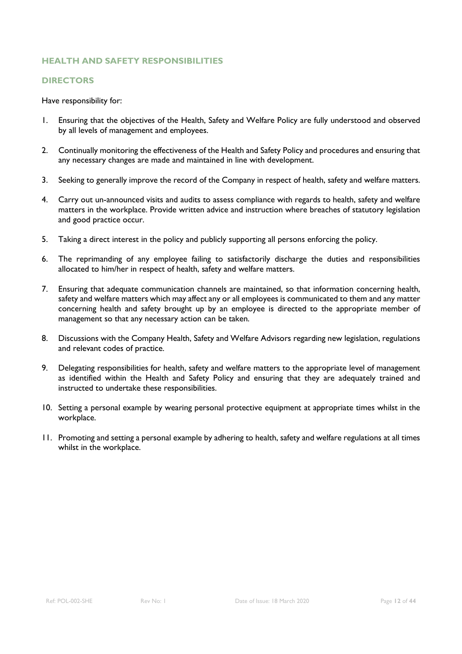#### **DIRECTORS**

- 1. Ensuring that the objectives of the Health, Safety and Welfare Policy are fully understood and observed by all levels of management and employees.
- 2. Continually monitoring the effectiveness of the Health and Safety Policy and procedures and ensuring that any necessary changes are made and maintained in line with development.
- 3. Seeking to generally improve the record of the Company in respect of health, safety and welfare matters.
- 4. Carry out un-announced visits and audits to assess compliance with regards to health, safety and welfare matters in the workplace. Provide written advice and instruction where breaches of statutory legislation and good practice occur.
- 5. Taking a direct interest in the policy and publicly supporting all persons enforcing the policy.
- 6. The reprimanding of any employee failing to satisfactorily discharge the duties and responsibilities allocated to him/her in respect of health, safety and welfare matters.
- 7. Ensuring that adequate communication channels are maintained, so that information concerning health, safety and welfare matters which may affect any or all employees is communicated to them and any matter concerning health and safety brought up by an employee is directed to the appropriate member of management so that any necessary action can be taken.
- 8. Discussions with the Company Health, Safety and Welfare Advisors regarding new legislation, regulations and relevant codes of practice.
- 9. Delegating responsibilities for health, safety and welfare matters to the appropriate level of management as identified within the Health and Safety Policy and ensuring that they are adequately trained and instructed to undertake these responsibilities.
- 10. Setting a personal example by wearing personal protective equipment at appropriate times whilst in the workplace.
- 11. Promoting and setting a personal example by adhering to health, safety and welfare regulations at all times whilst in the workplace.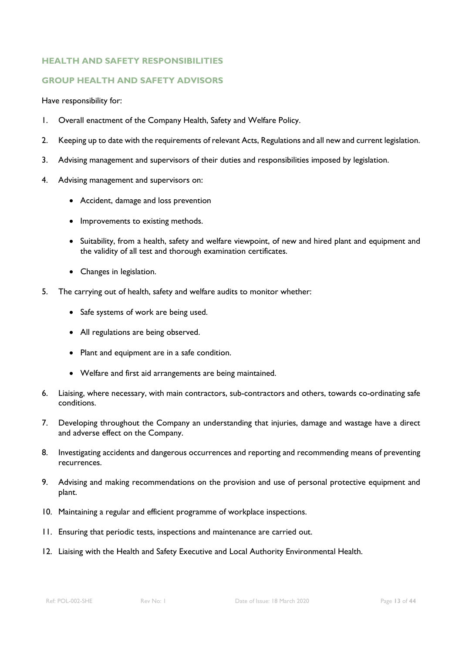#### **GROUP HEALTH AND SAFETY ADVISORS**

- 1. Overall enactment of the Company Health, Safety and Welfare Policy.
- 2. Keeping up to date with the requirements of relevant Acts, Regulations and all new and current legislation.
- 3. Advising management and supervisors of their duties and responsibilities imposed by legislation.
- 4. Advising management and supervisors on:
	- Accident, damage and loss prevention
	- Improvements to existing methods.
	- Suitability, from a health, safety and welfare viewpoint, of new and hired plant and equipment and the validity of all test and thorough examination certificates.
	- Changes in legislation.
- 5. The carrying out of health, safety and welfare audits to monitor whether:
	- Safe systems of work are being used.
	- All regulations are being observed.
	- Plant and equipment are in a safe condition.
	- Welfare and first aid arrangements are being maintained.
- 6. Liaising, where necessary, with main contractors, sub-contractors and others, towards co-ordinating safe conditions.
- 7. Developing throughout the Company an understanding that injuries, damage and wastage have a direct and adverse effect on the Company.
- 8. Investigating accidents and dangerous occurrences and reporting and recommending means of preventing recurrences.
- 9. Advising and making recommendations on the provision and use of personal protective equipment and plant.
- 10. Maintaining a regular and efficient programme of workplace inspections.
- 11. Ensuring that periodic tests, inspections and maintenance are carried out.
- 12. Liaising with the Health and Safety Executive and Local Authority Environmental Health.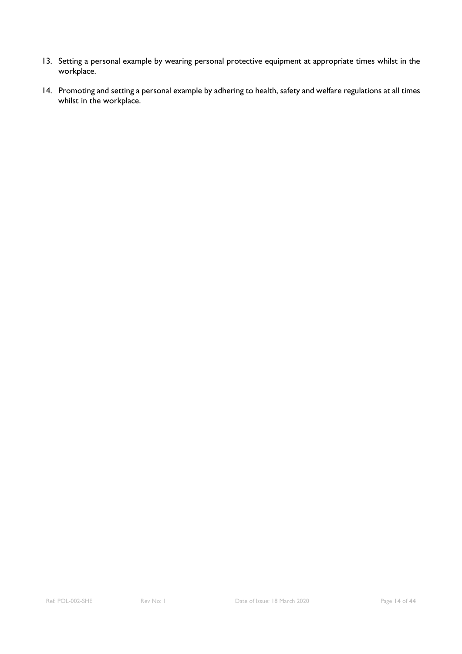- 13. Setting a personal example by wearing personal protective equipment at appropriate times whilst in the workplace.
- 14. Promoting and setting a personal example by adhering to health, safety and welfare regulations at all times whilst in the workplace.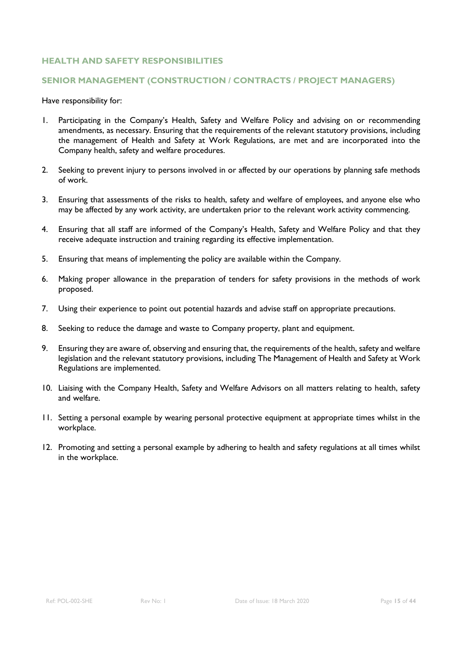#### **SENIOR MANAGEMENT (CONSTRUCTION / CONTRACTS / PROJECT MANAGERS)**

- 1. Participating in the Company's Health, Safety and Welfare Policy and advising on or recommending amendments, as necessary. Ensuring that the requirements of the relevant statutory provisions, including the management of Health and Safety at Work Regulations, are met and are incorporated into the Company health, safety and welfare procedures.
- 2. Seeking to prevent injury to persons involved in or affected by our operations by planning safe methods of work.
- 3. Ensuring that assessments of the risks to health, safety and welfare of employees, and anyone else who may be affected by any work activity, are undertaken prior to the relevant work activity commencing.
- 4. Ensuring that all staff are informed of the Company's Health, Safety and Welfare Policy and that they receive adequate instruction and training regarding its effective implementation.
- 5. Ensuring that means of implementing the policy are available within the Company.
- 6. Making proper allowance in the preparation of tenders for safety provisions in the methods of work proposed.
- 7. Using their experience to point out potential hazards and advise staff on appropriate precautions.
- 8. Seeking to reduce the damage and waste to Company property, plant and equipment.
- 9. Ensuring they are aware of, observing and ensuring that, the requirements of the health, safety and welfare legislation and the relevant statutory provisions, including The Management of Health and Safety at Work Regulations are implemented.
- 10. Liaising with the Company Health, Safety and Welfare Advisors on all matters relating to health, safety and welfare.
- 11. Setting a personal example by wearing personal protective equipment at appropriate times whilst in the workplace.
- 12. Promoting and setting a personal example by adhering to health and safety regulations at all times whilst in the workplace.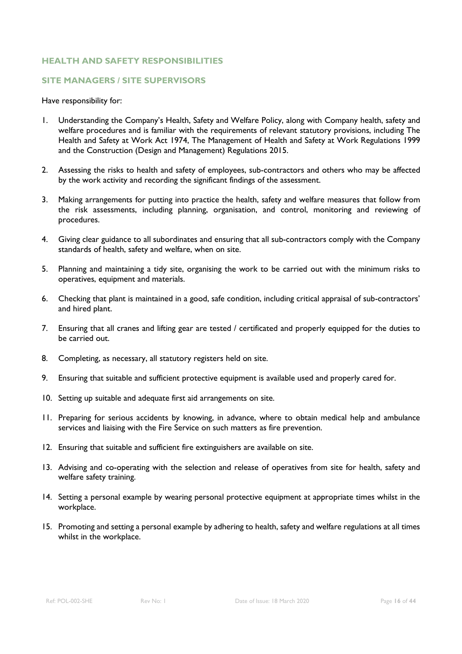#### **SITE MANAGERS / SITE SUPERVISORS**

- 1. Understanding the Company's Health, Safety and Welfare Policy, along with Company health, safety and welfare procedures and is familiar with the requirements of relevant statutory provisions, including The Health and Safety at Work Act 1974, The Management of Health and Safety at Work Regulations 1999 and the Construction (Design and Management) Regulations 2015.
- 2. Assessing the risks to health and safety of employees, sub-contractors and others who may be affected by the work activity and recording the significant findings of the assessment.
- 3. Making arrangements for putting into practice the health, safety and welfare measures that follow from the risk assessments, including planning, organisation, and control, monitoring and reviewing of procedures.
- 4. Giving clear guidance to all subordinates and ensuring that all sub-contractors comply with the Company standards of health, safety and welfare, when on site.
- 5. Planning and maintaining a tidy site, organising the work to be carried out with the minimum risks to operatives, equipment and materials.
- 6. Checking that plant is maintained in a good, safe condition, including critical appraisal of sub-contractors' and hired plant.
- 7. Ensuring that all cranes and lifting gear are tested / certificated and properly equipped for the duties to be carried out.
- 8. Completing, as necessary, all statutory registers held on site.
- 9. Ensuring that suitable and sufficient protective equipment is available used and properly cared for.
- 10. Setting up suitable and adequate first aid arrangements on site.
- 11. Preparing for serious accidents by knowing, in advance, where to obtain medical help and ambulance services and liaising with the Fire Service on such matters as fire prevention.
- 12. Ensuring that suitable and sufficient fire extinguishers are available on site.
- 13. Advising and co-operating with the selection and release of operatives from site for health, safety and welfare safety training.
- 14. Setting a personal example by wearing personal protective equipment at appropriate times whilst in the workplace.
- 15. Promoting and setting a personal example by adhering to health, safety and welfare regulations at all times whilst in the workplace.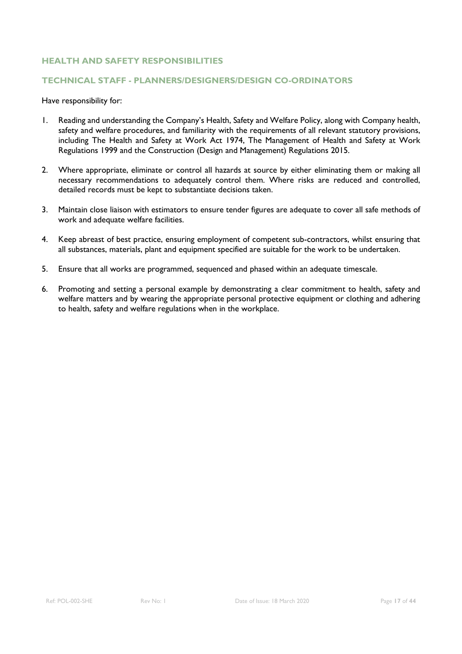#### **TECHNICAL STAFF - PLANNERS/DESIGNERS/DESIGN CO-ORDINATORS**

- 1. Reading and understanding the Company's Health, Safety and Welfare Policy, along with Company health, safety and welfare procedures, and familiarity with the requirements of all relevant statutory provisions, including The Health and Safety at Work Act 1974, The Management of Health and Safety at Work Regulations 1999 and the Construction (Design and Management) Regulations 2015.
- 2. Where appropriate, eliminate or control all hazards at source by either eliminating them or making all necessary recommendations to adequately control them. Where risks are reduced and controlled, detailed records must be kept to substantiate decisions taken.
- 3. Maintain close liaison with estimators to ensure tender figures are adequate to cover all safe methods of work and adequate welfare facilities.
- 4. Keep abreast of best practice, ensuring employment of competent sub-contractors, whilst ensuring that all substances, materials, plant and equipment specified are suitable for the work to be undertaken.
- 5. Ensure that all works are programmed, sequenced and phased within an adequate timescale.
- 6. Promoting and setting a personal example by demonstrating a clear commitment to health, safety and welfare matters and by wearing the appropriate personal protective equipment or clothing and adhering to health, safety and welfare regulations when in the workplace.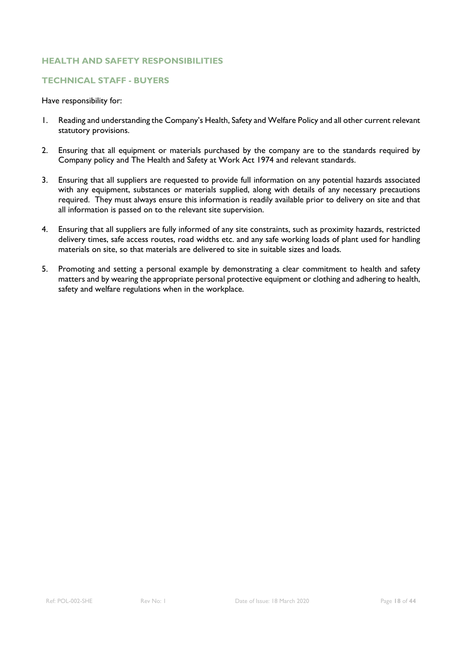#### **TECHNICAL STAFF - BUYERS**

- 1. Reading and understanding the Company's Health, Safety and Welfare Policy and all other current relevant statutory provisions.
- 2. Ensuring that all equipment or materials purchased by the company are to the standards required by Company policy and The Health and Safety at Work Act 1974 and relevant standards.
- 3. Ensuring that all suppliers are requested to provide full information on any potential hazards associated with any equipment, substances or materials supplied, along with details of any necessary precautions required. They must always ensure this information is readily available prior to delivery on site and that all information is passed on to the relevant site supervision.
- 4. Ensuring that all suppliers are fully informed of any site constraints, such as proximity hazards, restricted delivery times, safe access routes, road widths etc. and any safe working loads of plant used for handling materials on site, so that materials are delivered to site in suitable sizes and loads.
- 5. Promoting and setting a personal example by demonstrating a clear commitment to health and safety matters and by wearing the appropriate personal protective equipment or clothing and adhering to health, safety and welfare regulations when in the workplace.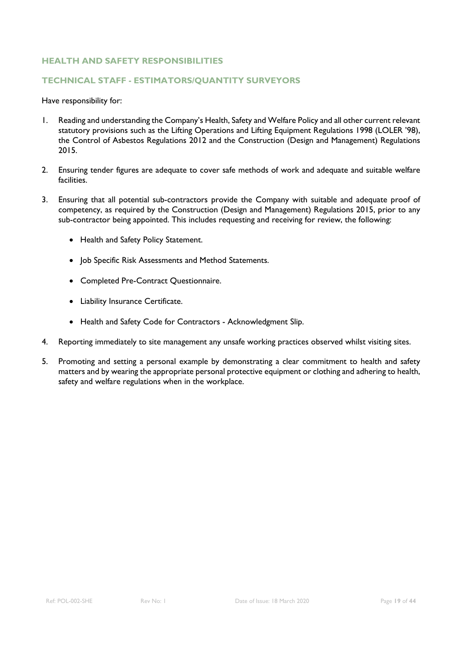#### **TECHNICAL STAFF - ESTIMATORS/QUANTITY SURVEYORS**

- 1. Reading and understanding the Company's Health, Safety and Welfare Policy and all other current relevant statutory provisions such as the Lifting Operations and Lifting Equipment Regulations 1998 (LOLER '98), the Control of Asbestos Regulations 2012 and the Construction (Design and Management) Regulations 2015.
- 2. Ensuring tender figures are adequate to cover safe methods of work and adequate and suitable welfare facilities.
- 3. Ensuring that all potential sub-contractors provide the Company with suitable and adequate proof of competency, as required by the Construction (Design and Management) Regulations 2015, prior to any sub-contractor being appointed. This includes requesting and receiving for review, the following:
	- Health and Safety Policy Statement.
	- Job Specific Risk Assessments and Method Statements.
	- Completed Pre-Contract Questionnaire.
	- Liability Insurance Certificate.
	- Health and Safety Code for Contractors Acknowledgment Slip.
- 4. Reporting immediately to site management any unsafe working practices observed whilst visiting sites.
- 5. Promoting and setting a personal example by demonstrating a clear commitment to health and safety matters and by wearing the appropriate personal protective equipment or clothing and adhering to health, safety and welfare regulations when in the workplace.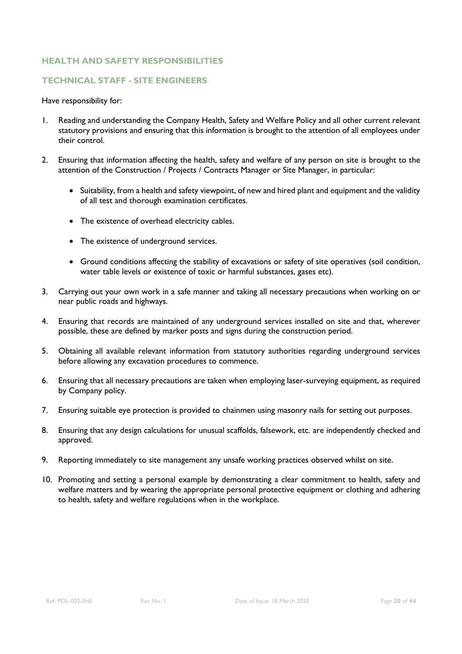#### **TECHNICAL STAFF - SITE ENGINEERS**

- 1. Reading and understanding the Company Health, Safety and Welfare Policy and all other current relevant statutory provisions and ensuring that this information is brought to the attention of all employees under their control.
- 2. Ensuring that information affecting the health, safety and welfare of any person on site is brought to the attention of the Construction / Projects / Contracts Manager or Site Manager, in particular:
	- Suitability, from a health and safety viewpoint, of new and hired plant and equipment and the validity of all test and thorough examination certificates.
	- The existence of overhead electricity cables.
	- The existence of underground services.
	- Ground conditions affecting the stability of excavations or safety of site operatives (soil condition, water table levels or existence of toxic or harmful substances, gases etc).
- 3. Carrying out your own work in a safe manner and taking all necessary precautions when working on or near public roads and highways.
- 4. Ensuring that records are maintained of any underground services installed on site and that, wherever possible, these are defined by marker posts and signs during the construction period.
- 5. Obtaining all available relevant information from statutory authorities regarding underground services before allowing any excavation procedures to commence.
- 6. Ensuring that all necessary precautions are taken when employing laser-surveying equipment, as required by Company policy.
- 7. Ensuring suitable eye protection is provided to chainmen using masonry nails for setting out purposes.
- 8. Ensuring that any design calculations for unusual scaffolds, falsework, etc. are independently checked and approved.
- 9. Reporting immediately to site management any unsafe working practices observed whilst on site.
- 10. Promoting and setting a personal example by demonstrating a clear commitment to health, safety and welfare matters and by wearing the appropriate personal protective equipment or clothing and adhering to health, safety and welfare regulations when in the workplace.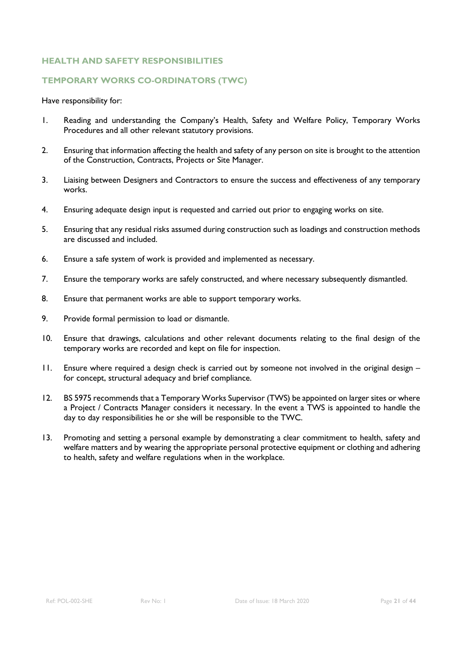#### **TEMPORARY WORKS CO-ORDINATORS (TWC)**

- 1. Reading and understanding the Company's Health, Safety and Welfare Policy, Temporary Works Procedures and all other relevant statutory provisions.
- 2. Ensuring that information affecting the health and safety of any person on site is brought to the attention of the Construction, Contracts, Projects or Site Manager.
- 3. Liaising between Designers and Contractors to ensure the success and effectiveness of any temporary works.
- 4. Ensuring adequate design input is requested and carried out prior to engaging works on site.
- 5. Ensuring that any residual risks assumed during construction such as loadings and construction methods are discussed and included.
- 6. Ensure a safe system of work is provided and implemented as necessary.
- 7. Ensure the temporary works are safely constructed, and where necessary subsequently dismantled.
- 8. Ensure that permanent works are able to support temporary works.
- 9. Provide formal permission to load or dismantle.
- 10. Ensure that drawings, calculations and other relevant documents relating to the final design of the temporary works are recorded and kept on file for inspection.
- 11. Ensure where required a design check is carried out by someone not involved in the original design for concept, structural adequacy and brief compliance.
- 12. BS 5975 recommends that a Temporary Works Supervisor (TWS) be appointed on larger sites or where a Project / Contracts Manager considers it necessary. In the event a TWS is appointed to handle the day to day responsibilities he or she will be responsible to the TWC.
- 13. Promoting and setting a personal example by demonstrating a clear commitment to health, safety and welfare matters and by wearing the appropriate personal protective equipment or clothing and adhering to health, safety and welfare regulations when in the workplace.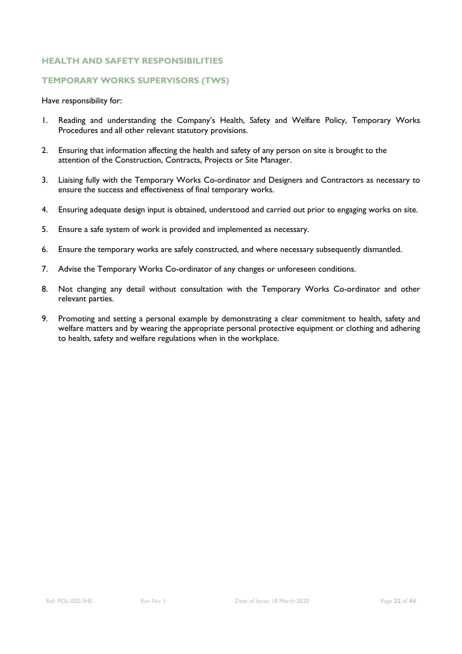#### **TEMPORARY WORKS SUPERVISORS (TWS)**

- 1. Reading and understanding the Company's Health, Safety and Welfare Policy, Temporary Works Procedures and all other relevant statutory provisions.
- 2. Ensuring that information affecting the health and safety of any person on site is brought to the attention of the Construction, Contracts, Projects or Site Manager.
- 3. Liaising fully with the Temporary Works Co-ordinator and Designers and Contractors as necessary to ensure the success and effectiveness of final temporary works.
- 4. Ensuring adequate design input is obtained, understood and carried out prior to engaging works on site.
- 5. Ensure a safe system of work is provided and implemented as necessary.
- 6. Ensure the temporary works are safely constructed, and where necessary subsequently dismantled.
- 7. Advise the Temporary Works Co-ordinator of any changes or unforeseen conditions.
- 8. Not changing any detail without consultation with the Temporary Works Co-ordinator and other relevant parties.
- 9. Promoting and setting a personal example by demonstrating a clear commitment to health, safety and welfare matters and by wearing the appropriate personal protective equipment or clothing and adhering to health, safety and welfare regulations when in the workplace.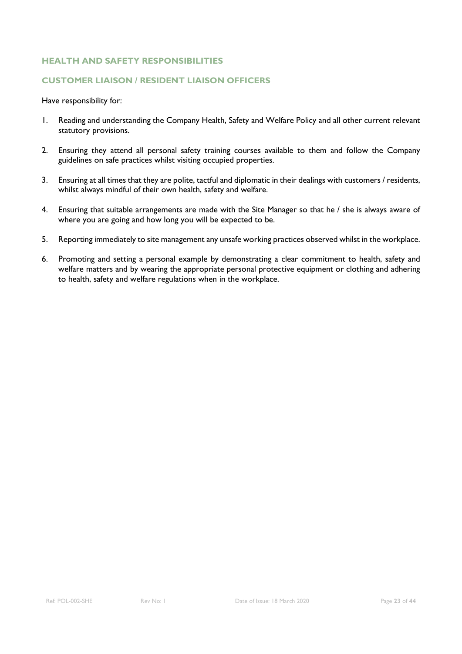#### **CUSTOMER LIAISON / RESIDENT LIAISON OFFICERS**

- 1. Reading and understanding the Company Health, Safety and Welfare Policy and all other current relevant statutory provisions.
- 2. Ensuring they attend all personal safety training courses available to them and follow the Company guidelines on safe practices whilst visiting occupied properties.
- 3. Ensuring at all times that they are polite, tactful and diplomatic in their dealings with customers / residents, whilst always mindful of their own health, safety and welfare.
- 4. Ensuring that suitable arrangements are made with the Site Manager so that he / she is always aware of where you are going and how long you will be expected to be.
- 5. Reporting immediately to site management any unsafe working practices observed whilst in the workplace.
- 6. Promoting and setting a personal example by demonstrating a clear commitment to health, safety and welfare matters and by wearing the appropriate personal protective equipment or clothing and adhering to health, safety and welfare regulations when in the workplace.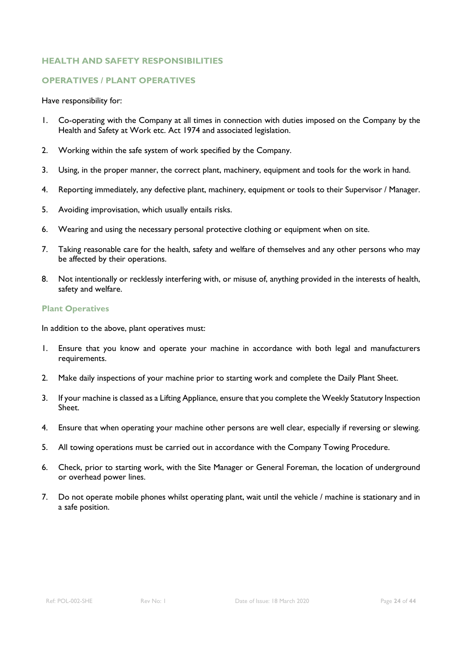#### **OPERATIVES / PLANT OPERATIVES**

Have responsibility for:

- 1. Co-operating with the Company at all times in connection with duties imposed on the Company by the Health and Safety at Work etc. Act 1974 and associated legislation.
- 2. Working within the safe system of work specified by the Company.
- 3. Using, in the proper manner, the correct plant, machinery, equipment and tools for the work in hand.
- 4. Reporting immediately, any defective plant, machinery, equipment or tools to their Supervisor / Manager.
- 5. Avoiding improvisation, which usually entails risks.
- 6. Wearing and using the necessary personal protective clothing or equipment when on site.
- 7. Taking reasonable care for the health, safety and welfare of themselves and any other persons who may be affected by their operations.
- 8. Not intentionally or recklessly interfering with, or misuse of, anything provided in the interests of health, safety and welfare.

#### **Plant Operatives**

In addition to the above, plant operatives must:

- 1. Ensure that you know and operate your machine in accordance with both legal and manufacturers requirements.
- 2. Make daily inspections of your machine prior to starting work and complete the Daily Plant Sheet.
- 3. If your machine is classed as a Lifting Appliance, ensure that you complete the Weekly Statutory Inspection Sheet.
- 4. Ensure that when operating your machine other persons are well clear, especially if reversing or slewing.
- 5. All towing operations must be carried out in accordance with the Company Towing Procedure.
- 6. Check, prior to starting work, with the Site Manager or General Foreman, the location of underground or overhead power lines.
- 7. Do not operate mobile phones whilst operating plant, wait until the vehicle / machine is stationary and in a safe position.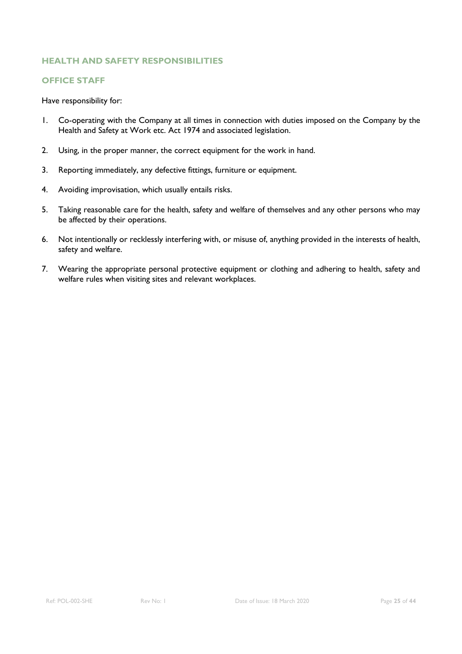#### **OFFICE STAFF**

- 1. Co-operating with the Company at all times in connection with duties imposed on the Company by the Health and Safety at Work etc. Act 1974 and associated legislation.
- 2. Using, in the proper manner, the correct equipment for the work in hand.
- 3. Reporting immediately, any defective fittings, furniture or equipment.
- 4. Avoiding improvisation, which usually entails risks.
- 5. Taking reasonable care for the health, safety and welfare of themselves and any other persons who may be affected by their operations.
- 6. Not intentionally or recklessly interfering with, or misuse of, anything provided in the interests of health, safety and welfare.
- 7. Wearing the appropriate personal protective equipment or clothing and adhering to health, safety and welfare rules when visiting sites and relevant workplaces.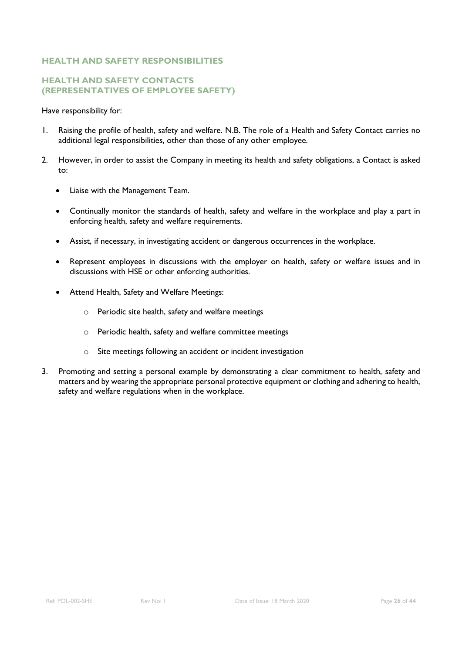#### **HEALTH AND SAFETY CONTACTS (REPRESENTATIVES OF EMPLOYEE SAFETY)**

- 1. Raising the profile of health, safety and welfare. N.B. The role of a Health and Safety Contact carries no additional legal responsibilities, other than those of any other employee.
- 2. However, in order to assist the Company in meeting its health and safety obligations, a Contact is asked to:
	- Liaise with the Management Team.
	- Continually monitor the standards of health, safety and welfare in the workplace and play a part in enforcing health, safety and welfare requirements.
	- Assist, if necessary, in investigating accident or dangerous occurrences in the workplace.
	- Represent employees in discussions with the employer on health, safety or welfare issues and in discussions with HSE or other enforcing authorities.
	- Attend Health, Safety and Welfare Meetings:
		- o Periodic site health, safety and welfare meetings
		- o Periodic health, safety and welfare committee meetings
		- o Site meetings following an accident or incident investigation
- 3. Promoting and setting a personal example by demonstrating a clear commitment to health, safety and matters and by wearing the appropriate personal protective equipment or clothing and adhering to health, safety and welfare regulations when in the workplace.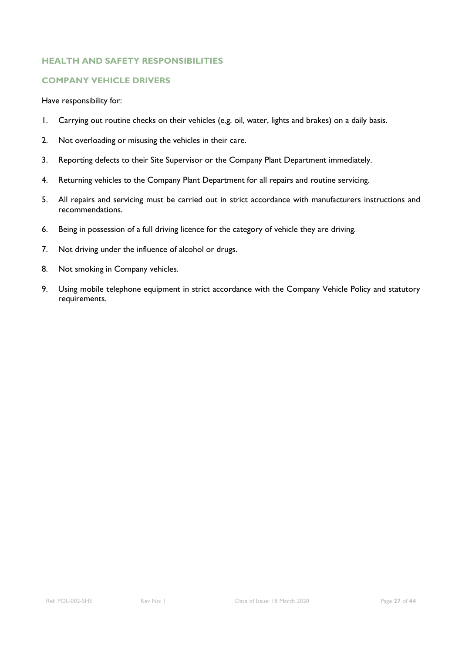#### **COMPANY VEHICLE DRIVERS**

- 1. Carrying out routine checks on their vehicles (e.g. oil, water, lights and brakes) on a daily basis.
- 2. Not overloading or misusing the vehicles in their care.
- 3. Reporting defects to their Site Supervisor or the Company Plant Department immediately.
- 4. Returning vehicles to the Company Plant Department for all repairs and routine servicing.
- 5. All repairs and servicing must be carried out in strict accordance with manufacturers instructions and recommendations.
- 6. Being in possession of a full driving licence for the category of vehicle they are driving.
- 7. Not driving under the influence of alcohol or drugs.
- 8. Not smoking in Company vehicles.
- 9. Using mobile telephone equipment in strict accordance with the Company Vehicle Policy and statutory requirements.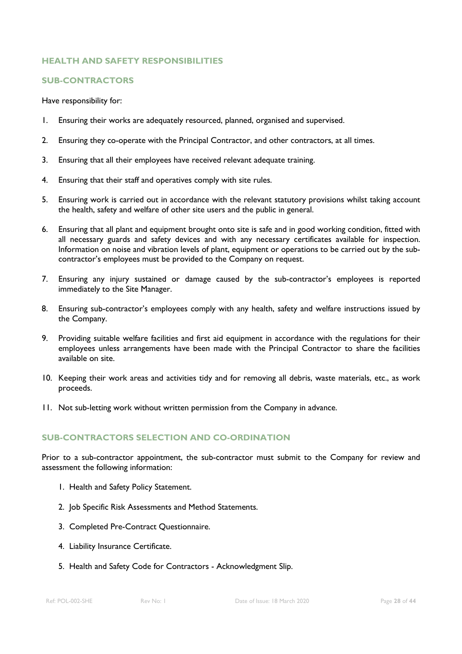#### **SUB-CONTRACTORS**

#### Have responsibility for:

- 1. Ensuring their works are adequately resourced, planned, organised and supervised.
- 2. Ensuring they co-operate with the Principal Contractor, and other contractors, at all times.
- 3. Ensuring that all their employees have received relevant adequate training.
- 4. Ensuring that their staff and operatives comply with site rules.
- 5. Ensuring work is carried out in accordance with the relevant statutory provisions whilst taking account the health, safety and welfare of other site users and the public in general.
- 6. Ensuring that all plant and equipment brought onto site is safe and in good working condition, fitted with all necessary guards and safety devices and with any necessary certificates available for inspection. Information on noise and vibration levels of plant, equipment or operations to be carried out by the subcontractor's employees must be provided to the Company on request.
- 7. Ensuring any injury sustained or damage caused by the sub-contractor's employees is reported immediately to the Site Manager.
- 8. Ensuring sub-contractor's employees comply with any health, safety and welfare instructions issued by the Company.
- 9. Providing suitable welfare facilities and first aid equipment in accordance with the regulations for their employees unless arrangements have been made with the Principal Contractor to share the facilities available on site.
- 10. Keeping their work areas and activities tidy and for removing all debris, waste materials, etc., as work proceeds.
- 11. Not sub-letting work without written permission from the Company in advance.

#### **SUB-CONTRACTORS SELECTION AND CO-ORDINATION**

Prior to a sub-contractor appointment, the sub-contractor must submit to the Company for review and assessment the following information:

- 1. Health and Safety Policy Statement.
- 2. Job Specific Risk Assessments and Method Statements.
- 3. Completed Pre-Contract Questionnaire.
- 4. Liability Insurance Certificate.
- 5. Health and Safety Code for Contractors Acknowledgment Slip.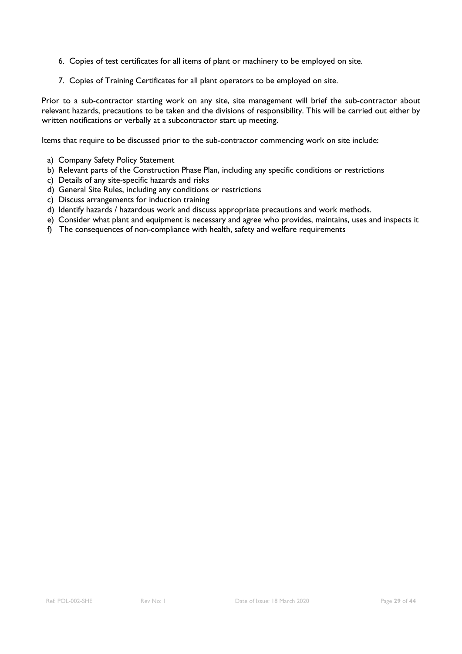- 6. Copies of test certificates for all items of plant or machinery to be employed on site.
- 7. Copies of Training Certificates for all plant operators to be employed on site.

Prior to a sub-contractor starting work on any site, site management will brief the sub-contractor about relevant hazards, precautions to be taken and the divisions of responsibility. This will be carried out either by written notifications or verbally at a subcontractor start up meeting.

Items that require to be discussed prior to the sub-contractor commencing work on site include:

- a) Company Safety Policy Statement
- b) Relevant parts of the Construction Phase Plan, including any specific conditions or restrictions
- c) Details of any site-specific hazards and risks
- d) General Site Rules, including any conditions or restrictions
- c) Discuss arrangements for induction training
- d) Identify hazards / hazardous work and discuss appropriate precautions and work methods.
- e) Consider what plant and equipment is necessary and agree who provides, maintains, uses and inspects it
- f) The consequences of non-compliance with health, safety and welfare requirements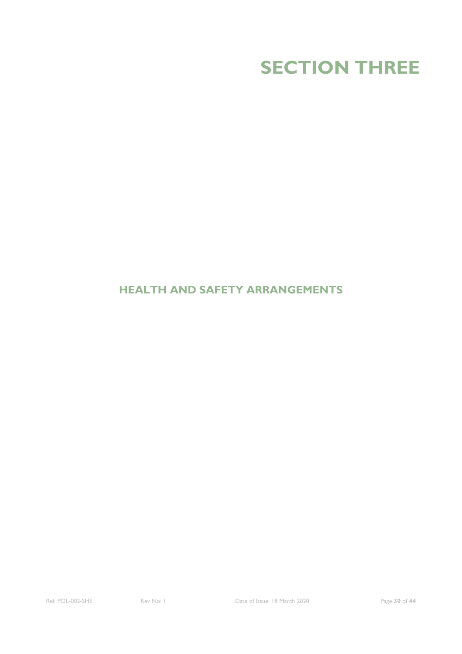

### **HEALTH AND SAFETY ARRANGEMENTS**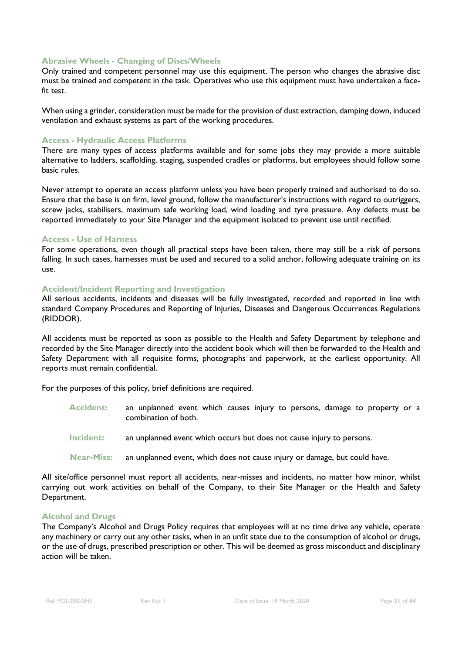#### **Abrasive Wheels - Changing of Discs/Wheels**

Only trained and competent personnel may use this equipment. The person who changes the abrasive disc must be trained and competent in the task. Operatives who use this equipment must have undertaken a facefit test.

When using a grinder, consideration must be made for the provision of dust extraction, damping down, induced ventilation and exhaust systems as part of the working procedures.

#### **Access - Hydraulic Access Platforms**

There are many types of access platforms available and for some jobs they may provide a more suitable alternative to ladders, scaffolding, staging, suspended cradles or platforms, but employees should follow some basic rules.

Never attempt to operate an access platform unless you have been properly trained and authorised to do so. Ensure that the base is on firm, level ground, follow the manufacturer's instructions with regard to outriggers, screw jacks, stabilisers, maximum safe working load, wind loading and tyre pressure. Any defects must be reported immediately to your Site Manager and the equipment isolated to prevent use until rectified.

#### **Access - Use of Harness**

For some operations, even though all practical steps have been taken, there may still be a risk of persons falling. In such cases, harnesses must be used and secured to a solid anchor, following adequate training on its use.

#### **Accident/Incident Reporting and Investigation**

All serious accidents, incidents and diseases will be fully investigated, recorded and reported in line with standard Company Procedures and Reporting of Injuries, Diseases and Dangerous Occurrences Regulations (RIDDOR).

All accidents must be reported as soon as possible to the Health and Safety Department by telephone and recorded by the Site Manager directly into the accident book which will then be forwarded to the Health and Safety Department with all requisite forms, photographs and paperwork, at the earliest opportunity. All reports must remain confidential.

For the purposes of this policy, brief definitions are required.

- **Accident:** an unplanned event which causes injury to persons, damage to property or a combination of both.
- **Incident:** an unplanned event which occurs but does not cause injury to persons.
- **Near-Miss:** an unplanned event, which does not cause injury or damage, but could have.

All site/office personnel must report all accidents, near-misses and incidents, no matter how minor, whilst carrying out work activities on behalf of the Company, to their Site Manager or the Health and Safety Department.

#### **Alcohol and Drugs**

The Company's Alcohol and Drugs Policy requires that employees will at no time drive any vehicle, operate any machinery or carry out any other tasks, when in an unfit state due to the consumption of alcohol or drugs, or the use of drugs, prescribed prescription or other. This will be deemed as gross misconduct and disciplinary action will be taken.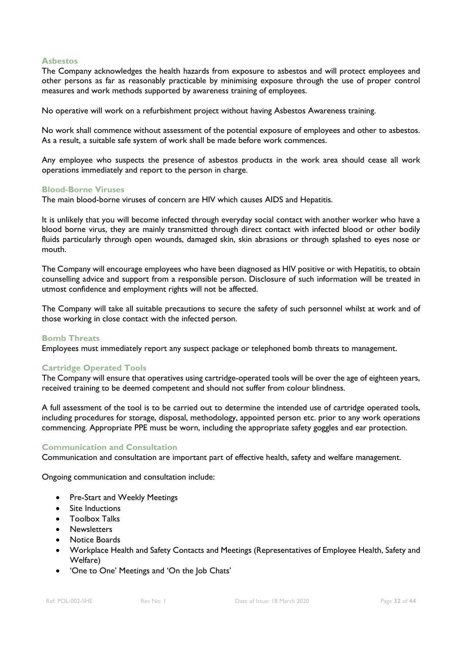#### **Asbestos**

The Company acknowledges the health hazards from exposure to asbestos and will protect employees and other persons as far as reasonably practicable by minimising exposure through the use of proper control measures and work methods supported by awareness training of employees.

No operative will work on a refurbishment project without having Asbestos Awareness training.

No work shall commence without assessment of the potential exposure of employees and other to asbestos. As a result, a suitable safe system of work shall be made before work commences.

Any employee who suspects the presence of asbestos products in the work area should cease all work operations immediately and report to the person in charge.

#### **Blood-Borne Viruses**

The main blood-borne viruses of concern are HIV which causes AIDS and Hepatitis.

It is unlikely that you will become infected through everyday social contact with another worker who have a blood borne virus, they are mainly transmitted through direct contact with infected blood or other bodily fluids particularly through open wounds, damaged skin, skin abrasions or through splashed to eyes nose or mouth.

The Company will encourage employees who have been diagnosed as HIV positive or with Hepatitis, to obtain counselling advice and support from a responsible person. Disclosure of such information will be treated in utmost confidence and employment rights will not be affected.

The Company will take all suitable precautions to secure the safety of such personnel whilst at work and of those working in close contact with the infected person.

#### **Bomb Threats**

Employees must immediately report any suspect package or telephoned bomb threats to management.

#### **Cartridge Operated Tools**

The Company will ensure that operatives using cartridge-operated tools will be over the age of eighteen years, received training to be deemed competent and should not suffer from colour blindness.

A full assessment of the tool is to be carried out to determine the intended use of cartridge operated tools, including procedures for storage, disposal, methodology, appointed person etc. prior to any work operations commencing. Appropriate PPE must be worn, including the appropriate safety goggles and ear protection.

#### **Communication and Consultation**

Communication and consultation are important part of effective health, safety and welfare management.

Ongoing communication and consultation include:

- Pre-Start and Weekly Meetings
- Site Inductions
- Toolbox Talks
- Newsletters
- Notice Boards
- Workplace Health and Safety Contacts and Meetings (Representatives of Employee Health, Safety and Welfare)
- 'One to One' Meetings and 'On the Job Chats'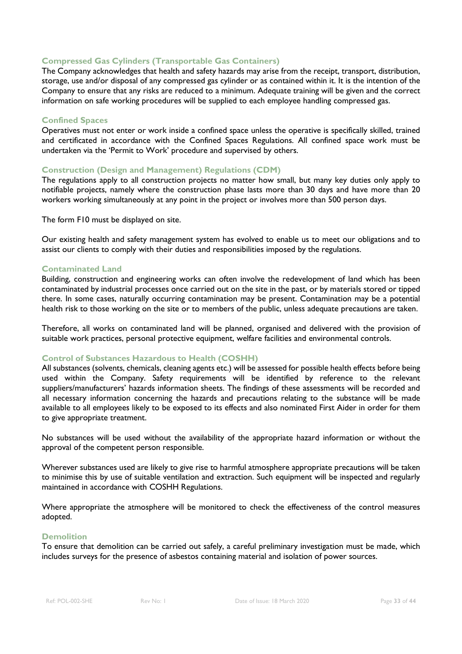#### **Compressed Gas Cylinders (Transportable Gas Containers)**

The Company acknowledges that health and safety hazards may arise from the receipt, transport, distribution, storage, use and/or disposal of any compressed gas cylinder or as contained within it. It is the intention of the Company to ensure that any risks are reduced to a minimum. Adequate training will be given and the correct information on safe working procedures will be supplied to each employee handling compressed gas.

#### **Confined Spaces**

Operatives must not enter or work inside a confined space unless the operative is specifically skilled, trained and certificated in accordance with the Confined Spaces Regulations. All confined space work must be undertaken via the 'Permit to Work' procedure and supervised by others.

#### **Construction (Design and Management) Regulations (CDM)**

The regulations apply to all construction projects no matter how small, but many key duties only apply to notifiable projects, namely where the construction phase lasts more than 30 days and have more than 20 workers working simultaneously at any point in the project or involves more than 500 person days.

The form F10 must be displayed on site.

Our existing health and safety management system has evolved to enable us to meet our obligations and to assist our clients to comply with their duties and responsibilities imposed by the regulations.

#### **Contaminated Land**

Building, construction and engineering works can often involve the redevelopment of land which has been contaminated by industrial processes once carried out on the site in the past, or by materials stored or tipped there. In some cases, naturally occurring contamination may be present. Contamination may be a potential health risk to those working on the site or to members of the public, unless adequate precautions are taken.

Therefore, all works on contaminated land will be planned, organised and delivered with the provision of suitable work practices, personal protective equipment, welfare facilities and environmental controls.

#### **Control of Substances Hazardous to Health (COSHH)**

All substances (solvents, chemicals, cleaning agents etc.) will be assessed for possible health effects before being used within the Company. Safety requirements will be identified by reference to the relevant suppliers/manufacturers' hazards information sheets. The findings of these assessments will be recorded and all necessary information concerning the hazards and precautions relating to the substance will be made available to all employees likely to be exposed to its effects and also nominated First Aider in order for them to give appropriate treatment.

No substances will be used without the availability of the appropriate hazard information or without the approval of the competent person responsible.

Wherever substances used are likely to give rise to harmful atmosphere appropriate precautions will be taken to minimise this by use of suitable ventilation and extraction. Such equipment will be inspected and regularly maintained in accordance with COSHH Regulations.

Where appropriate the atmosphere will be monitored to check the effectiveness of the control measures adopted.

#### **Demolition**

To ensure that demolition can be carried out safely, a careful preliminary investigation must be made, which includes surveys for the presence of asbestos containing material and isolation of power sources.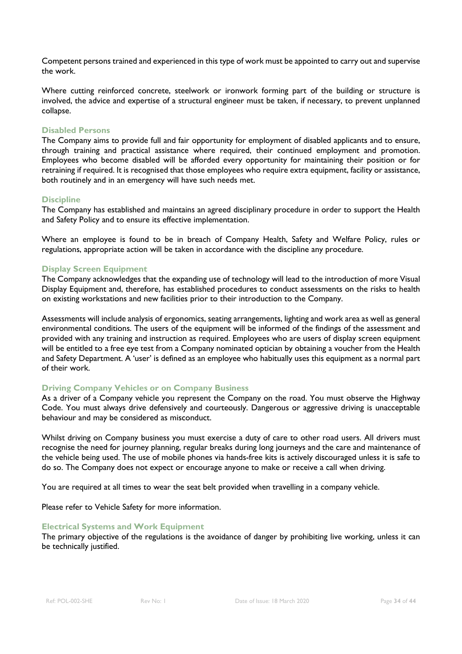Competent persons trained and experienced in this type of work must be appointed to carry out and supervise the work.

Where cutting reinforced concrete, steelwork or ironwork forming part of the building or structure is involved, the advice and expertise of a structural engineer must be taken, if necessary, to prevent unplanned collapse.

#### **Disabled Persons**

The Company aims to provide full and fair opportunity for employment of disabled applicants and to ensure, through training and practical assistance where required, their continued employment and promotion. Employees who become disabled will be afforded every opportunity for maintaining their position or for retraining if required. It is recognised that those employees who require extra equipment, facility or assistance, both routinely and in an emergency will have such needs met.

#### **Discipline**

The Company has established and maintains an agreed disciplinary procedure in order to support the Health and Safety Policy and to ensure its effective implementation.

Where an employee is found to be in breach of Company Health, Safety and Welfare Policy, rules or regulations, appropriate action will be taken in accordance with the discipline any procedure.

#### **Display Screen Equipment**

The Company acknowledges that the expanding use of technology will lead to the introduction of more Visual Display Equipment and, therefore, has established procedures to conduct assessments on the risks to health on existing workstations and new facilities prior to their introduction to the Company.

Assessments will include analysis of ergonomics, seating arrangements, lighting and work area as well as general environmental conditions. The users of the equipment will be informed of the findings of the assessment and provided with any training and instruction as required. Employees who are users of display screen equipment will be entitled to a free eye test from a Company nominated optician by obtaining a voucher from the Health and Safety Department. A 'user' is defined as an employee who habitually uses this equipment as a normal part of their work.

#### **Driving Company Vehicles or on Company Business**

As a driver of a Company vehicle you represent the Company on the road. You must observe the Highway Code. You must always drive defensively and courteously. Dangerous or aggressive driving is unacceptable behaviour and may be considered as misconduct.

Whilst driving on Company business you must exercise a duty of care to other road users. All drivers must recognise the need for journey planning, regular breaks during long journeys and the care and maintenance of the vehicle being used. The use of mobile phones via hands-free kits is actively discouraged unless it is safe to do so. The Company does not expect or encourage anyone to make or receive a call when driving.

You are required at all times to wear the seat belt provided when travelling in a company vehicle.

Please refer to Vehicle Safety for more information.

#### **Electrical Systems and Work Equipment**

The primary objective of the regulations is the avoidance of danger by prohibiting live working, unless it can be technically justified.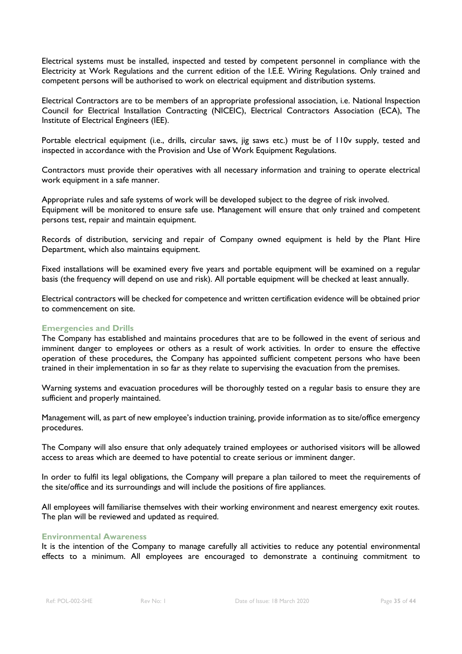Electrical systems must be installed, inspected and tested by competent personnel in compliance with the Electricity at Work Regulations and the current edition of the I.E.E. Wiring Regulations. Only trained and competent persons will be authorised to work on electrical equipment and distribution systems.

Electrical Contractors are to be members of an appropriate professional association, i.e. National Inspection Council for Electrical Installation Contracting (NICEIC), Electrical Contractors Association (ECA), The Institute of Electrical Engineers (IEE).

Portable electrical equipment (i.e., drills, circular saws, jig saws etc.) must be of 110v supply, tested and inspected in accordance with the Provision and Use of Work Equipment Regulations.

Contractors must provide their operatives with all necessary information and training to operate electrical work equipment in a safe manner.

Appropriate rules and safe systems of work will be developed subject to the degree of risk involved. Equipment will be monitored to ensure safe use. Management will ensure that only trained and competent persons test, repair and maintain equipment.

Records of distribution, servicing and repair of Company owned equipment is held by the Plant Hire Department, which also maintains equipment.

Fixed installations will be examined every five years and portable equipment will be examined on a regular basis (the frequency will depend on use and risk). All portable equipment will be checked at least annually.

Electrical contractors will be checked for competence and written certification evidence will be obtained prior to commencement on site.

#### **Emergencies and Drills**

The Company has established and maintains procedures that are to be followed in the event of serious and imminent danger to employees or others as a result of work activities. In order to ensure the effective operation of these procedures, the Company has appointed sufficient competent persons who have been trained in their implementation in so far as they relate to supervising the evacuation from the premises.

Warning systems and evacuation procedures will be thoroughly tested on a regular basis to ensure they are sufficient and properly maintained.

Management will, as part of new employee's induction training, provide information as to site/office emergency procedures.

The Company will also ensure that only adequately trained employees or authorised visitors will be allowed access to areas which are deemed to have potential to create serious or imminent danger.

In order to fulfil its legal obligations, the Company will prepare a plan tailored to meet the requirements of the site/office and its surroundings and will include the positions of fire appliances.

All employees will familiarise themselves with their working environment and nearest emergency exit routes. The plan will be reviewed and updated as required.

#### **Environmental Awareness**

It is the intention of the Company to manage carefully all activities to reduce any potential environmental effects to a minimum. All employees are encouraged to demonstrate a continuing commitment to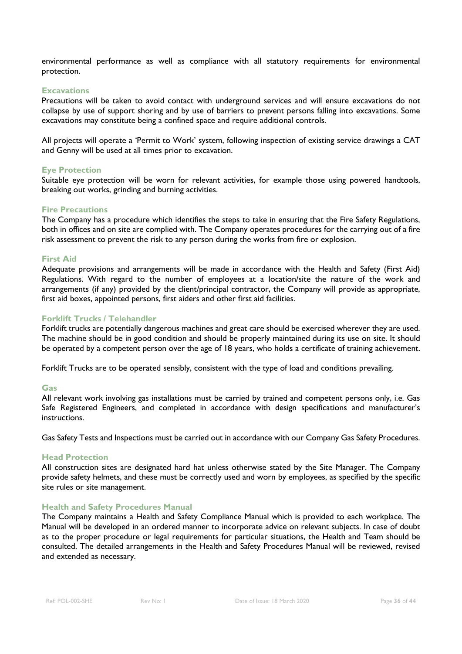environmental performance as well as compliance with all statutory requirements for environmental protection.

#### **Excavations**

Precautions will be taken to avoid contact with underground services and will ensure excavations do not collapse by use of support shoring and by use of barriers to prevent persons falling into excavations. Some excavations may constitute being a confined space and require additional controls.

All projects will operate a 'Permit to Work' system, following inspection of existing service drawings a CAT and Genny will be used at all times prior to excavation.

#### **Eye Protection**

Suitable eye protection will be worn for relevant activities, for example those using powered handtools, breaking out works, grinding and burning activities.

#### **Fire Precautions**

The Company has a procedure which identifies the steps to take in ensuring that the Fire Safety Regulations, both in offices and on site are complied with. The Company operates procedures for the carrying out of a fire risk assessment to prevent the risk to any person during the works from fire or explosion.

#### **First Aid**

Adequate provisions and arrangements will be made in accordance with the Health and Safety (First Aid) Regulations. With regard to the number of employees at a location/site the nature of the work and arrangements (if any) provided by the client/principal contractor, the Company will provide as appropriate, first aid boxes, appointed persons, first aiders and other first aid facilities.

#### **Forklift Trucks / Telehandler**

Forklift trucks are potentially dangerous machines and great care should be exercised wherever they are used. The machine should be in good condition and should be properly maintained during its use on site. It should be operated by a competent person over the age of 18 years, who holds a certificate of training achievement.

Forklift Trucks are to be operated sensibly, consistent with the type of load and conditions prevailing.

#### **Gas**

All relevant work involving gas installations must be carried by trained and competent persons only, i.e. Gas Safe Registered Engineers, and completed in accordance with design specifications and manufacturer's instructions.

Gas Safety Tests and Inspections must be carried out in accordance with our Company Gas Safety Procedures.

#### **Head Protection**

All construction sites are designated hard hat unless otherwise stated by the Site Manager. The Company provide safety helmets, and these must be correctly used and worn by employees, as specified by the specific site rules or site management.

#### **Health and Safety Procedures Manual**

The Company maintains a Health and Safety Compliance Manual which is provided to each workplace. The Manual will be developed in an ordered manner to incorporate advice on relevant subjects. In case of doubt as to the proper procedure or legal requirements for particular situations, the Health and Team should be consulted. The detailed arrangements in the Health and Safety Procedures Manual will be reviewed, revised and extended as necessary.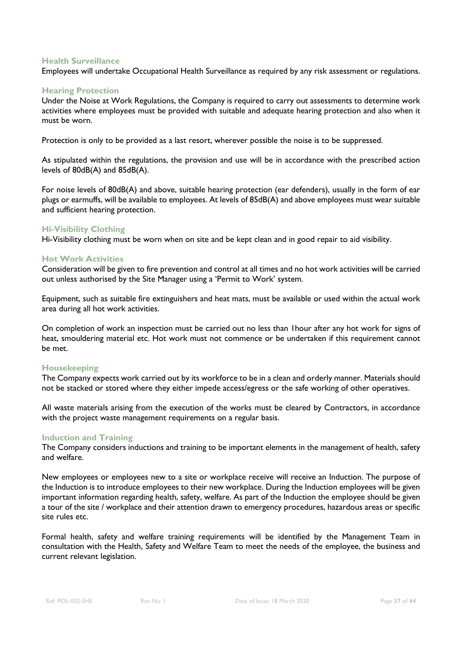#### **Health Surveillance**

Employees will undertake Occupational Health Surveillance as required by any risk assessment or regulations.

#### **Hearing Protection**

Under the Noise at Work Regulations, the Company is required to carry out assessments to determine work activities where employees must be provided with suitable and adequate hearing protection and also when it must be worn.

Protection is only to be provided as a last resort, wherever possible the noise is to be suppressed.

As stipulated within the regulations, the provision and use will be in accordance with the prescribed action levels of 80dB(A) and 85dB(A).

For noise levels of 80dB(A) and above, suitable hearing protection (ear defenders), usually in the form of ear plugs or earmuffs, will be available to employees. At levels of 85dB(A) and above employees must wear suitable and sufficient hearing protection.

#### **Hi-Visibility Clothing**

Hi-Visibility clothing must be worn when on site and be kept clean and in good repair to aid visibility.

#### **Hot Work Activities**

Consideration will be given to fire prevention and control at all times and no hot work activities will be carried out unless authorised by the Site Manager using a 'Permit to Work' system.

Equipment, such as suitable fire extinguishers and heat mats, must be available or used within the actual work area during all hot work activities.

On completion of work an inspection must be carried out no less than 1hour after any hot work for signs of heat, smouldering material etc. Hot work must not commence or be undertaken if this requirement cannot be met.

#### **Housekeeping**

The Company expects work carried out by its workforce to be in a clean and orderly manner. Materials should not be stacked or stored where they either impede access/egress or the safe working of other operatives.

All waste materials arising from the execution of the works must be cleared by Contractors, in accordance with the project waste management requirements on a regular basis.

#### **Induction and Training**

The Company considers inductions and training to be important elements in the management of health, safety and welfare.

New employees or employees new to a site or workplace receive will receive an Induction. The purpose of the Induction is to introduce employees to their new workplace. During the Induction employees will be given important information regarding health, safety, welfare. As part of the Induction the employee should be given a tour of the site / workplace and their attention drawn to emergency procedures, hazardous areas or specific site rules etc.

Formal health, safety and welfare training requirements will be identified by the Management Team in consultation with the Health, Safety and Welfare Team to meet the needs of the employee, the business and current relevant legislation.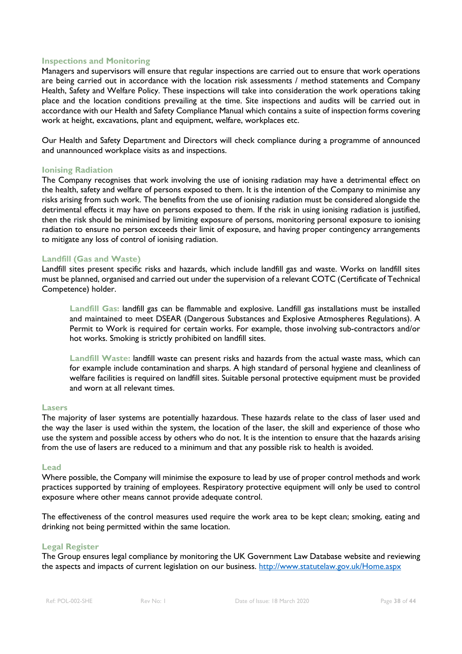#### **Inspections and Monitoring**

Managers and supervisors will ensure that regular inspections are carried out to ensure that work operations are being carried out in accordance with the location risk assessments / method statements and Company Health, Safety and Welfare Policy. These inspections will take into consideration the work operations taking place and the location conditions prevailing at the time. Site inspections and audits will be carried out in accordance with our Health and Safety Compliance Manual which contains a suite of inspection forms covering work at height, excavations, plant and equipment, welfare, workplaces etc.

Our Health and Safety Department and Directors will check compliance during a programme of announced and unannounced workplace visits as and inspections.

#### **Ionising Radiation**

The Company recognises that work involving the use of ionising radiation may have a detrimental effect on the health, safety and welfare of persons exposed to them. It is the intention of the Company to minimise any risks arising from such work. The benefits from the use of ionising radiation must be considered alongside the detrimental effects it may have on persons exposed to them. If the risk in using ionising radiation is justified, then the risk should be minimised by limiting exposure of persons, monitoring personal exposure to ionising radiation to ensure no person exceeds their limit of exposure, and having proper contingency arrangements to mitigate any loss of control of ionising radiation.

#### **Landfill (Gas and Waste)**

Landfill sites present specific risks and hazards, which include landfill gas and waste. Works on landfill sites must be planned, organised and carried out under the supervision of a relevant COTC (Certificate of Technical Competence) holder.

**Landfill Gas:** landfill gas can be flammable and explosive. Landfill gas installations must be installed and maintained to meet DSEAR (Dangerous Substances and Explosive Atmospheres Regulations). A Permit to Work is required for certain works. For example, those involving sub-contractors and/or hot works. Smoking is strictly prohibited on landfill sites.

**Landfill Waste:** landfill waste can present risks and hazards from the actual waste mass, which can for example include contamination and sharps. A high standard of personal hygiene and cleanliness of welfare facilities is required on landfill sites. Suitable personal protective equipment must be provided and worn at all relevant times.

#### **Lasers**

The majority of laser systems are potentially hazardous. These hazards relate to the class of laser used and the way the laser is used within the system, the location of the laser, the skill and experience of those who use the system and possible access by others who do not. It is the intention to ensure that the hazards arising from the use of lasers are reduced to a minimum and that any possible risk to health is avoided.

#### **Lead**

Where possible, the Company will minimise the exposure to lead by use of proper control methods and work practices supported by training of employees. Respiratory protective equipment will only be used to control exposure where other means cannot provide adequate control.

The effectiveness of the control measures used require the work area to be kept clean; smoking, eating and drinking not being permitted within the same location.

#### **Legal Register**

The Group ensures legal compliance by monitoring the UK Government Law Database website and reviewing the aspects and impacts of current legislation on our business.<http://www.statutelaw.gov.uk/Home.aspx>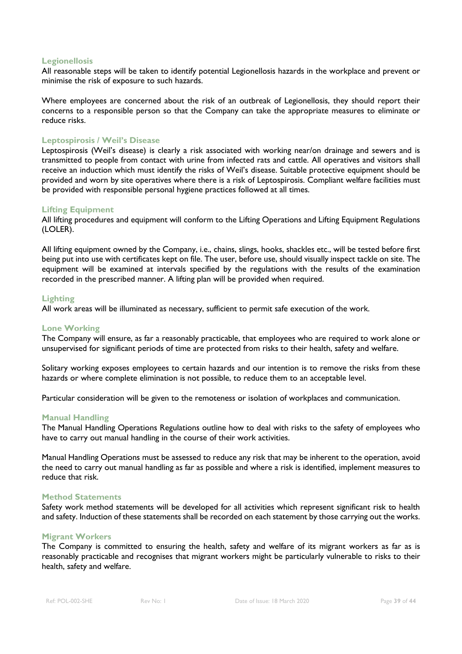#### **Legionellosis**

All reasonable steps will be taken to identify potential Legionellosis hazards in the workplace and prevent or minimise the risk of exposure to such hazards.

Where employees are concerned about the risk of an outbreak of Legionellosis, they should report their concerns to a responsible person so that the Company can take the appropriate measures to eliminate or reduce risks.

#### **Leptospirosis / Weil's Disease**

Leptospirosis (Weil's disease) is clearly a risk associated with working near/on drainage and sewers and is transmitted to people from contact with urine from infected rats and cattle. All operatives and visitors shall receive an induction which must identify the risks of Weil's disease. Suitable protective equipment should be provided and worn by site operatives where there is a risk of Leptospirosis. Compliant welfare facilities must be provided with responsible personal hygiene practices followed at all times.

#### **Lifting Equipment**

All lifting procedures and equipment will conform to the Lifting Operations and Lifting Equipment Regulations (LOLER).

All lifting equipment owned by the Company, i.e., chains, slings, hooks, shackles etc., will be tested before first being put into use with certificates kept on file. The user, before use, should visually inspect tackle on site. The equipment will be examined at intervals specified by the regulations with the results of the examination recorded in the prescribed manner. A lifting plan will be provided when required.

#### **Lighting**

All work areas will be illuminated as necessary, sufficient to permit safe execution of the work.

#### **Lone Working**

The Company will ensure, as far a reasonably practicable, that employees who are required to work alone or unsupervised for significant periods of time are protected from risks to their health, safety and welfare.

Solitary working exposes employees to certain hazards and our intention is to remove the risks from these hazards or where complete elimination is not possible, to reduce them to an acceptable level.

Particular consideration will be given to the remoteness or isolation of workplaces and communication.

#### **Manual Handling**

The Manual Handling Operations Regulations outline how to deal with risks to the safety of employees who have to carry out manual handling in the course of their work activities.

Manual Handling Operations must be assessed to reduce any risk that may be inherent to the operation, avoid the need to carry out manual handling as far as possible and where a risk is identified, implement measures to reduce that risk.

#### **Method Statements**

Safety work method statements will be developed for all activities which represent significant risk to health and safety. Induction of these statements shall be recorded on each statement by those carrying out the works.

#### **Migrant Workers**

The Company is committed to ensuring the health, safety and welfare of its migrant workers as far as is reasonably practicable and recognises that migrant workers might be particularly vulnerable to risks to their health, safety and welfare.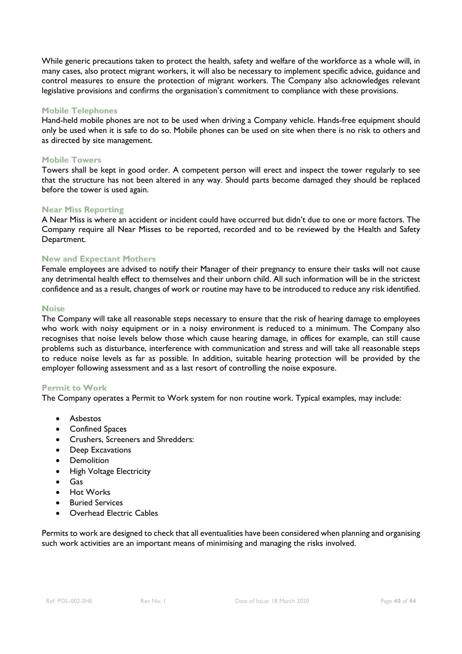While generic precautions taken to protect the health, safety and welfare of the workforce as a whole will, in many cases, also protect migrant workers, it will also be necessary to implement specific advice, guidance and control measures to ensure the protection of migrant workers. The Company also acknowledges relevant legislative provisions and confirms the organisation's commitment to compliance with these provisions.

#### **Mobile Telephones**

Hand-held mobile phones are not to be used when driving a Company vehicle. Hands-free equipment should only be used when it is safe to do so. Mobile phones can be used on site when there is no risk to others and as directed by site management.

#### **Mobile Towers**

Towers shall be kept in good order. A competent person will erect and inspect the tower regularly to see that the structure has not been altered in any way. Should parts become damaged they should be replaced before the tower is used again.

#### **Near Miss Reporting**

A Near Miss is where an accident or incident could have occurred but didn't due to one or more factors. The Company require all Near Misses to be reported, recorded and to be reviewed by the Health and Safety Department.

#### **New and Expectant Mothers**

Female employees are advised to notify their Manager of their pregnancy to ensure their tasks will not cause any detrimental health effect to themselves and their unborn child. All such information will be in the strictest confidence and as a result, changes of work or routine may have to be introduced to reduce any risk identified.

#### **Noise**

The Company will take all reasonable steps necessary to ensure that the risk of hearing damage to employees who work with noisy equipment or in a noisy environment is reduced to a minimum. The Company also recognises that noise levels below those which cause hearing damage, in offices for example, can still cause problems such as disturbance, interference with communication and stress and will take all reasonable steps to reduce noise levels as far as possible. In addition, suitable hearing protection will be provided by the employer following assessment and as a last resort of controlling the noise exposure.

#### **Permit to Work**

The Company operates a Permit to Work system for non routine work. Typical examples, may include:

- Asbestos
- Confined Spaces
- Crushers, Screeners and Shredders:
- Deep Excavations
- Demolition
- High Voltage Electricity
- Gas
- Hot Works
- **Buried Services**
- Overhead Electric Cables

Permits to work are designed to check that all eventualities have been considered when planning and organising such work activities are an important means of minimising and managing the risks involved.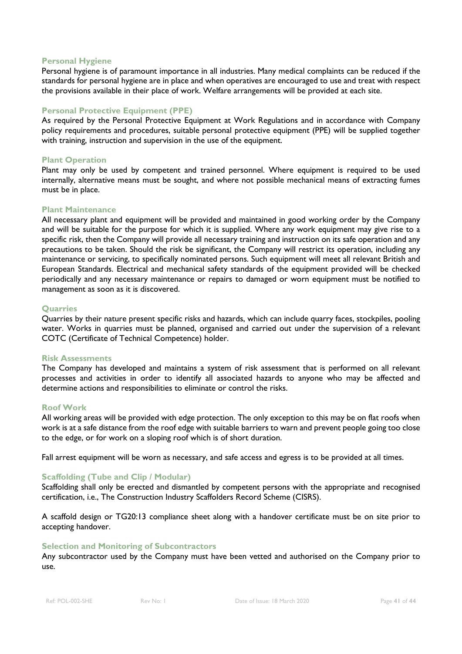#### **Personal Hygiene**

Personal hygiene is of paramount importance in all industries. Many medical complaints can be reduced if the standards for personal hygiene are in place and when operatives are encouraged to use and treat with respect the provisions available in their place of work. Welfare arrangements will be provided at each site.

#### **Personal Protective Equipment (PPE)**

As required by the Personal Protective Equipment at Work Regulations and in accordance with Company policy requirements and procedures, suitable personal protective equipment (PPE) will be supplied together with training, instruction and supervision in the use of the equipment.

#### **Plant Operation**

Plant may only be used by competent and trained personnel. Where equipment is required to be used internally, alternative means must be sought, and where not possible mechanical means of extracting fumes must be in place.

#### **Plant Maintenance**

All necessary plant and equipment will be provided and maintained in good working order by the Company and will be suitable for the purpose for which it is supplied. Where any work equipment may give rise to a specific risk, then the Company will provide all necessary training and instruction on its safe operation and any precautions to be taken. Should the risk be significant, the Company will restrict its operation, including any maintenance or servicing, to specifically nominated persons. Such equipment will meet all relevant British and European Standards. Electrical and mechanical safety standards of the equipment provided will be checked periodically and any necessary maintenance or repairs to damaged or worn equipment must be notified to management as soon as it is discovered.

#### **Quarries**

Quarries by their nature present specific risks and hazards, which can include quarry faces, stockpiles, pooling water. Works in quarries must be planned, organised and carried out under the supervision of a relevant COTC (Certificate of Technical Competence) holder.

#### **Risk Assessments**

The Company has developed and maintains a system of risk assessment that is performed on all relevant processes and activities in order to identify all associated hazards to anyone who may be affected and determine actions and responsibilities to eliminate or control the risks.

#### **Roof Work**

All working areas will be provided with edge protection. The only exception to this may be on flat roofs when work is at a safe distance from the roof edge with suitable barriers to warn and prevent people going too close to the edge, or for work on a sloping roof which is of short duration.

Fall arrest equipment will be worn as necessary, and safe access and egress is to be provided at all times.

#### **Scaffolding (Tube and Clip / Modular)**

Scaffolding shall only be erected and dismantled by competent persons with the appropriate and recognised certification, i.e., The Construction Industry Scaffolders Record Scheme (CISRS).

A scaffold design or TG20:13 compliance sheet along with a handover certificate must be on site prior to accepting handover.

#### **Selection and Monitoring of Subcontractors**

Any subcontractor used by the Company must have been vetted and authorised on the Company prior to use.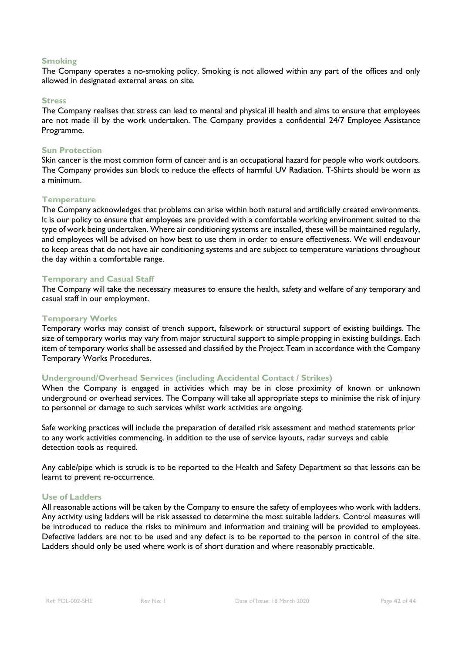#### **Smoking**

The Company operates a no-smoking policy. Smoking is not allowed within any part of the offices and only allowed in designated external areas on site.

#### **Stress**

The Company realises that stress can lead to mental and physical ill health and aims to ensure that employees are not made ill by the work undertaken. The Company provides a confidential 24/7 Employee Assistance Programme.

#### **Sun Protection**

Skin cancer is the most common form of cancer and is an occupational hazard for people who work outdoors. The Company provides sun block to reduce the effects of harmful UV Radiation. T-Shirts should be worn as a minimum.

#### **Temperature**

The Company acknowledges that problems can arise within both natural and artificially created environments. It is our policy to ensure that employees are provided with a comfortable working environment suited to the type of work being undertaken. Where air conditioning systems are installed, these will be maintained regularly, and employees will be advised on how best to use them in order to ensure effectiveness. We will endeavour to keep areas that do not have air conditioning systems and are subject to temperature variations throughout the day within a comfortable range.

#### **Temporary and Casual Staff**

The Company will take the necessary measures to ensure the health, safety and welfare of any temporary and casual staff in our employment.

#### **Temporary Works**

Temporary works may consist of trench support, falsework or structural support of existing buildings. The size of temporary works may vary from major structural support to simple propping in existing buildings. Each item of temporary works shall be assessed and classified by the Project Team in accordance with the Company Temporary Works Procedures.

#### **Underground/Overhead Services (including Accidental Contact / Strikes)**

When the Company is engaged in activities which may be in close proximity of known or unknown underground or overhead services. The Company will take all appropriate steps to minimise the risk of injury to personnel or damage to such services whilst work activities are ongoing.

Safe working practices will include the preparation of detailed risk assessment and method statements prior to any work activities commencing, in addition to the use of service layouts, radar surveys and cable detection tools as required.

Any cable/pipe which is struck is to be reported to the Health and Safety Department so that lessons can be learnt to prevent re-occurrence.

#### **Use of Ladders**

All reasonable actions will be taken by the Company to ensure the safety of employees who work with ladders. Any activity using ladders will be risk assessed to determine the most suitable ladders. Control measures will be introduced to reduce the risks to minimum and information and training will be provided to employees. Defective ladders are not to be used and any defect is to be reported to the person in control of the site. Ladders should only be used where work is of short duration and where reasonably practicable.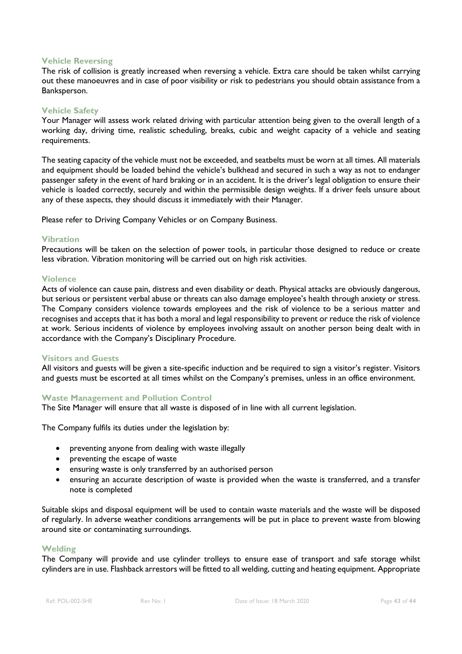#### **Vehicle Reversing**

The risk of collision is greatly increased when reversing a vehicle. Extra care should be taken whilst carrying out these manoeuvres and in case of poor visibility or risk to pedestrians you should obtain assistance from a Banksperson.

#### **Vehicle Safety**

Your Manager will assess work related driving with particular attention being given to the overall length of a working day, driving time, realistic scheduling, breaks, cubic and weight capacity of a vehicle and seating requirements.

The seating capacity of the vehicle must not be exceeded, and seatbelts must be worn at all times. All materials and equipment should be loaded behind the vehicle's bulkhead and secured in such a way as not to endanger passenger safety in the event of hard braking or in an accident. It is the driver's legal obligation to ensure their vehicle is loaded correctly, securely and within the permissible design weights. If a driver feels unsure about any of these aspects, they should discuss it immediately with their Manager.

Please refer to Driving Company Vehicles or on Company Business.

#### **Vibration**

Precautions will be taken on the selection of power tools, in particular those designed to reduce or create less vibration. Vibration monitoring will be carried out on high risk activities.

#### **Violence**

Acts of violence can cause pain, distress and even disability or death. Physical attacks are obviously dangerous, but serious or persistent verbal abuse or threats can also damage employee's health through anxiety or stress. The Company considers violence towards employees and the risk of violence to be a serious matter and recognises and accepts that it has both a moral and legal responsibility to prevent or reduce the risk of violence at work. Serious incidents of violence by employees involving assault on another person being dealt with in accordance with the Company's Disciplinary Procedure.

#### **Visitors and Guests**

All visitors and guests will be given a site-specific induction and be required to sign a visitor's register. Visitors and guests must be escorted at all times whilst on the Company's premises, unless in an office environment.

#### **Waste Management and Pollution Control**

The Site Manager will ensure that all waste is disposed of in line with all current legislation.

The Company fulfils its duties under the legislation by:

- preventing anyone from dealing with waste illegally
- preventing the escape of waste
- ensuring waste is only transferred by an authorised person
- ensuring an accurate description of waste is provided when the waste is transferred, and a transfer note is completed

Suitable skips and disposal equipment will be used to contain waste materials and the waste will be disposed of regularly. In adverse weather conditions arrangements will be put in place to prevent waste from blowing around site or contaminating surroundings.

#### **Welding**

The Company will provide and use cylinder trolleys to ensure ease of transport and safe storage whilst cylinders are in use. Flashback arrestors will be fitted to all welding, cutting and heating equipment. Appropriate